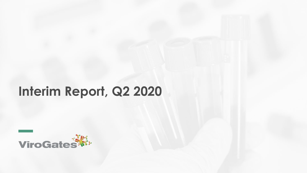# **Interim Report, Q2 2020**

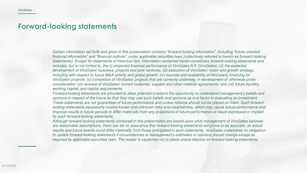#### **Forward-looking statements**

*Certain information set forth and given in this presentation contains "forward*-*looking information", including "future oriented financial information" and "financial outlook", under applicable securities laws (collectively referred to herein as forward*-looking statements). Except for statements of historical fact, information contained herein constitutes forward-looking statements and includes, but is not limited to, the (i) projected financial performance of ViroGates A/S (ViroGates); (ii) the expected *development of ViroGates' business, projects and joint ventures; (iii) execution of ViroGates' vision and growth strategy,*  including with respect to future M&A activity and global growth; (iv) sources and availability of third-party financing for *ViroGates' projects; (v) completion of ViroGates' projects that are currently underway, in development or otherwise under consideration; (vi) renewal of ViroGates' current customer, supplier and other material agreements; and (vii) future liquidit*y, working capital, and capital requirements.

Forward-*looking statements are provided to allow potential investors the opportunity to understand management's beliefs and*  opinions in respect of the future so that they may use such beliefs and opinions as one factor in evaluating an investment. These statements are not guarantees of future performance and undue reliance should not be placed on them. Such forwardlooking statements necessarily involve known and unknown risks and uncertainties, which may cause actual performance and financial results in future periods to differ materially from any projections of future performance or result expressed or implied by such forward-looking statements.

Although forward-looking statements contained in this presentation are based upon what management of ViroGates believes are reasonable assumptions, there can be no assurance that forward-looking statements will prove to be accurate, as actual results and future events could differ materially from those anticipated in such statements. ViroGates undertakes no obligation to update forward-*looking statements if circumstances or management's estimates or opinions should change except as*  required by applicable securities laws. The reader is cautioned not to place undue reliance on forward-looking statements.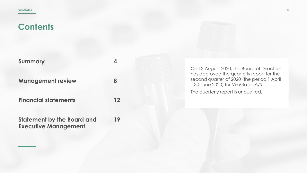| <b>Summary</b>                    |         |
|-----------------------------------|---------|
| <b>Management review</b>          | 8       |
| <b>Financial statements</b>       | $12 \,$ |
| <b>Statement by the Board and</b> | 19      |

**Statement by the Board and Executive Management**

On 13 August 2020, the Board of Directors has approved the quarterly report for the second quarter of 2020 (the period 1 April – 30 June 2020) for ViroGates A/S.

The quarterly report is unaudited.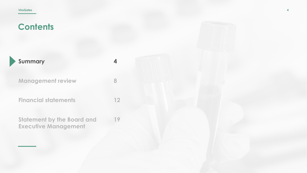| Summary                                                          |    |
|------------------------------------------------------------------|----|
| <b>Management review</b>                                         |    |
| <b>Financial statements</b>                                      | 12 |
| <b>Statement by the Board and</b><br><b>Executive Management</b> | 19 |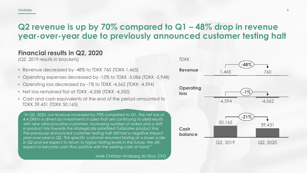## **Q2 revenue is up by 70% compared to Q1 – 48% drop in revenue year-over-year due to previously announced customer testing halt**

#### **Financial results in Q2, 2020**

*(Q2, 2019 results in brackets)*

- Revenue decreased by -48% to TDKK 760 (TDKK 1,465)
- Operating expenses decreased by -15% to TDKK -5,086 (TDKK -5,948)
- Operating loss decreased by -1% to TDKK -4,562 (TDKK -4,594)
- Net loss remained flat at TDKK -4,358 (TDKK -4,350)
- Cash and cash equivalents at the end of the period amounted to TDKK 39,431 (TDKK 50,165)

*"In Q2, 2020, our revenue increased by 70% compared to Q1. The net loss of 4.4 DKKm is driven by investments in sales that are continuing to yield results*  with new clinical routine customers, increasing number of orders and a shift *in product mix towards the strategically prioritized TurbiLatex product line. The previously announced customer testing halt still had a negative impact year-over-year in Q2. The specific customer resumed testing at a lower scale*  in Q2 and we expect to return to higher testing levels in the future. We still *expect to become cash flow positive with the existing cash at hand."*

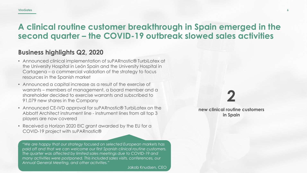#### **ViroGates**

## **A clinical routine customer breakthrough in Spain emerged in the second quarter – the COVID-19 outbreak slowed sales activities**

#### **Business highlights Q2, 2020**

- Announced clinical implementation of suPARnostic® TurbiLatex at the University Hospital in León Spain and the University Hospital in Cartagena – a commercial validation of the strategy to focus resources in the Spanish market
- Announced a capital increase as a result of the exercise of warrants – members of management, a board member and a shareholder decided to exercise warrants and subscribed to 91,079 new shares in the Company
- Announced CE-IVD approval for suPARnostic® TurbiLatex on the Abbott Architect instrument line - instrument lines from all top 3 players are now covered
- Received a Horizon 2020 EIC grant awarded by the EU for a COVID-19 project with suPARnostic®

*"We are happy that our strategy focused on selected European markets has paid off and that we can welcome our first Spanish clinical routine customers. The quarter was affected by limited sales meetings due to COVID-19 and many activities were postponed. This included sales visits, conferences, our Annual General Meeting, and other activities."*

## **2 new clinical routine customers in Spain**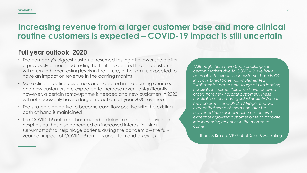#### **ViroGates**

## **Increasing revenue from a larger customer base and more clinical routine customers is expected – COVID-19 impact is still uncertain**

#### **Full year outlook, 2020**

- The company's biggest customer resumed testing at a lower scale after a previously announced testing halt – it is expected that the customer will return to higher testing levels in the future, although it is expected to have an impact on revenue in the coming months
- More clinical routine customers are expected in the coming quarters and new customers are expected to increase revenue significantly, however, a certain ramp-up time is needed and new customers in 2020 will not necessarily have a large impact on full-year 2020 revenue
- The strategic objective to become cash flow positive with the existing cash at hand is maintained
- The COVID-19 outbreak has caused a delay in most sales activities at hospitals but has also generated an increased interest in using suPARnostic® to help triage patients during the pandemic – the fullyear net impact of COVID-19 remains uncertain and a key risk

"*Although there have been challenges in certain markets due to COVID-19, we have been able to expand our customer base in Q2. In Spain, Direct Sales has implemented TurbiLatex for acute care triage at two leading hospitals. In Indirect Sales, we have received orders from new hospital customers. These hospitals are purchasing suPARnostic® since it may be useful for COVID-19 triage, and we expect that some of them can later be converted into clinical routine customers. I expect our growing customer base to translate into increasing revenues in the months to come*."

Thomas Krarup, VP Global Sales & Marketing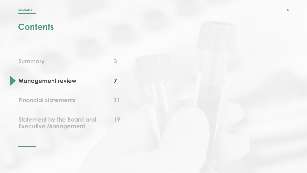| <b>Summary</b>           |
|--------------------------|
| <b>Management review</b> |

**Financial statements**

**Statement by the Board and Executive Management 19**

**3**

**7**

**11**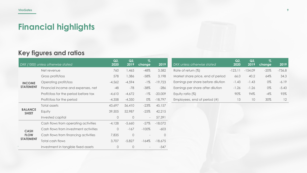# **Financial highlights**

## **Key figures and ratios**

|                                | DKK ('000) unless otherwise stated    | Q2<br>2020 | Q2<br>2019 | $\overline{\mathcal{Z}}$<br>change | 2019      | DKK unless otherwise stated        | Q2<br>2020 | Q2<br>2019 | $\%$<br>change | 2019     |
|--------------------------------|---------------------------------------|------------|------------|------------------------------------|-----------|------------------------------------|------------|------------|----------------|----------|
|                                | Net revenue                           | 760        | 1,465      | $-48%$                             | 3,582     | Rate of return (%)                 | $-123,11$  | $-154,09$  | $-20\%$        | $-736,8$ |
|                                | Gross profit/loss                     | 578        | 1,386      | $-58%$                             | 3,198     | Market share price, end of period  | 66.0       | 40.2       | 64%            | 34.3     |
| <b>INCOME</b>                  | Operating profit/loss                 | $-4,562$   | $-4,594$   | $-1\%$                             | $-19,723$ | Earnings per share before dilution | $-1.43$    | $-1.43$    | 0%             | $-6.19$  |
| <b>STATEMENT</b>               | Financial income and expenses, net    | $-48$      | $-78$      | $-38%$                             | $-286$    | Earnings per share after dilution  | $-1.26$    | $-1.26$    | 0%             | $-5.43$  |
|                                | Profit/loss for the period before tax | $-4,610$   | $-4,672$   | $-1\%$                             | $-20,009$ | Equity ratio (%)                   | 90%        | 94%        | $-4%$          | 93%      |
|                                | Profit/loss for the period            | $-4,358$   | $-4,350$   | 0%                                 | $-18,797$ | Employees, end of period (#)       | 13         | 10         | 30%            | 12       |
|                                | Total assets                          | 43,697     | 56,410     | $-23%$                             | 45,157    |                                    |            |            |                |          |
| <b>BALANCE</b><br><b>SHEET</b> | Equity                                | 39,505     | 52,987     | $-25%$                             | 42,215    |                                    |            |            |                |          |
|                                | Invested capital                      | $\circ$    | $\circ$    | $\sim$                             | 57,391    |                                    |            |            |                |          |
|                                | Cash flows from operating activities  | $-4,128$   | $-5,660$   | $-27%$                             | $-18,072$ |                                    |            |            |                |          |
| <b>CASH</b>                    | Cash flows from investment activities | $\circ$    | $-167$     | $-100%$                            | $-603$    |                                    |            |            |                |          |
| <b>FLOW</b>                    | Cash flows from financing activities  | 7,835      | $\circ$    | $\overline{\phantom{a}}$           | $\circ$   |                                    |            |            |                |          |
| <b>STATEMENT</b>               | Total cash flows                      | 3,707      | $-5,827$   | $-164%$                            | $-18,675$ |                                    |            |            |                |          |
|                                | Investment in tangible fixed assets   | $\circ$    | $\circ$    | $\overline{\phantom{a}}$           | $-547$    |                                    |            |            |                |          |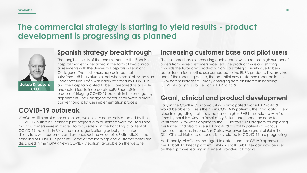## **The commercial strategy is starting to yield results - product development is progressing as planned**



#### **Spanish strategy breakthrough**

The tangible results of the commitment to the Spanish hospital market materialized in the form of two clinical agreements with the University Hospitals in León and Cartagena. The customers appreciated that suPARnostic® is a valuable tool when hospital systems are under pressure. León was badly affected by COVID-19 and the Hospital wanted to be as prepared as possible and acted fast to incorporate suPARnostic® in the process of triaging COVID-19 patients in the emergency department. The Cartagena account followed a more conventional pilot use implementation process.

### **COVID-19 outbreak**

ViroGates, like most other businesses, was initially negatively affected by the COVID-19 outbreak. Planned pilot projects with customers were paused since most customers were instructed to focus solely on the handling of potential COVID-19 patients. In May, the sales organization gradually reinitiated discussions with customers and emphasized the value of suPARnostic® in the handling of COVID-19 patients. Some of the learnings and customer cases are described in the 'suPAR News COVID-19 edition' available on the website.

#### **Increasing customer base and pilot users**

The customer base is increasing each quarter with a record-high number of orders from more customers received. The product mix is also shifting towards the TurbiLatex product which is a strategic priority due to being better for clinical routine use compared to the ELISA products. Towards the end of the reporting period, the potential new customers reported in the CRM system increased – many emerging from an interest in handling COVID-19 prognosis based on suPARnostic®.

### **Grant, clinical and product development**

Early in the COVID-19 outbreak, it was anticipated that suPARnostic® would be able to assess the risk in COVID-19 patients. The initial data is very clear in suggesting that this is the case - high suPAR is associated with 16 times higher risk of Severe Respiratory Failure and hence the need for ventilation. ViroGates applied to the EU Horizon 2020 program for exploring this further and also to use suPARnostic® to stratify patients to various treatment options. In June, ViroGates was awarded a grant of 6.6 million DKK. Clinical trials and other activities related to COVID-19 are progressing.

Additionally, ViroGates managed to obtain another CE-IVD approval for the Abbott Architect platform. suPARnostic® TurbiLatex can now be used on the top three leading instrument providers' platforms.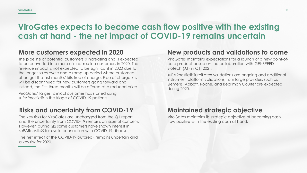## **ViroGates expects to become cash flow positive with the existing cash at hand - the net impact of COVID-19 remains uncertain**

#### **More customers expected in 2020**

The pipeline of potential customers is increasing and is expected to be converted into more clinical routine customers in 2020. The revenue impact is not expected to be significant in 2020 due to the longer sales cycle and a ramp-up period where customers often get the first months' kits free of charge. Free of charge kits will be discontinued for new customers going forward and instead, the first three months will be offered at a reduced price.

ViroGates' largest clinical customer has started using suPARnostic® in the triage of COVID-19 patients.

## **Risks and uncertainty from COVID-19**

The key risks for ViroGates are unchanged from the Q1 report and the uncertainty from COVID-19 remains an issue of concern. However, during Q2 some customers have shown interest in suPARnostic® for use in connection with COVID-19 disease.

The net effect of the COVID-19 outbreak remains uncertain and a key risk for 2020.

### **New products and validations to come**

ViroGates maintains expectations for a launch of a new point-ofcare product based on the collaboration with GENSPEED Biotech (AT) in Q1, 2021.

suPARnostic® TurbiLatex validations are ongoing and additional instrument platform validations from large providers such as Siemens, Abbott, Roche, and Beckman Coulter are expected during 2020.

### **Maintained strategic objective**

ViroGates maintains its strategic objective of becoming cash flow positive with the existing cash at hand.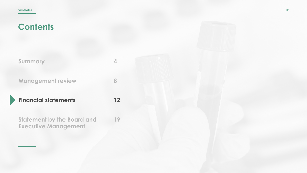| Summary                  |  |
|--------------------------|--|
| <b>Management review</b> |  |

**Financial statements**

**12**

**Statement by the Board and Executive Management 19**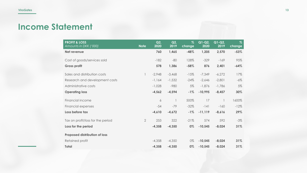## **Income Statement**

| <b>PROFIT &amp; LOSS</b><br>Amounts in DKK (*000) | <b>Note</b>  | Q2<br>$\overline{2020}$ | Q2<br>2019 | $\%$<br>change | $Q1-Q2$<br>2020 | $\overline{Q1-Q2}$<br>2019 | $\%$<br>change |
|---------------------------------------------------|--------------|-------------------------|------------|----------------|-----------------|----------------------------|----------------|
| Net revenue                                       |              | 760                     | 1,465      | $-48%$         | 1,205           | 2,570                      | $-53%$         |
| Cost of goods/services sold                       |              | $-182$                  | $-80$      | 128%           | $-329$          | $-169$                     | 95%            |
| <b>Gross profit</b>                               |              | 578                     | 1,386      | $-58%$         | 876             | 2,401                      | $-64%$         |
| Sales and distribution costs                      | $\mathbb{I}$ | $-2,948$                | $-3,468$   | $-15%$         | $-7,349$        | $-6,272$                   | 17%            |
| Research and development costs                    |              | $-1,164$                | $-1,532$   | $-24\%$        | $-2,646$        | $-2,801$                   | -6%            |
| Administrative costs                              |              | $-1,028$                | $-980$     | 5%             | $-1,876$        | $-1,786$                   | 5%             |
| <b>Operating loss</b>                             |              | $-4,562$                | $-4,594$   | $-1%$          | $-10,995$       | $-8,457$                   | 30%            |
| Financial income                                  |              | 6                       |            | 500%           | 17              |                            | 1600%          |
| Financial expenses                                |              | $-54$                   | $-79$      | $-32%$         | $-141$          | $-160$                     | $-12%$         |
| Loss before tax                                   |              | $-4,610$                | $-4,672$   | $-1%$          | $-11,119$       | $-8,616$                   | 29%            |
| Tax on profit/loss for the period                 | $\mathbf{2}$ | 253                     | 322        | $-21%$         | 574             | 592                        | $-3%$          |
| Loss for the period                               |              | $-4,358$                | $-4,350$   | 0%             | $-10,545$       | $-8,024$                   | 31%            |
| <b>Proposed distribution of loss</b>              |              |                         |            |                |                 |                            |                |
| Retained profit                                   |              | $-4,358$                | $-4,350$   | 0%             | $-10,545$       | $-8,024$                   | 31%            |
| Total                                             |              | $-4,358$                | $-4,350$   | $0\%$          | $-10,545$       | $-8,024$                   | 31%            |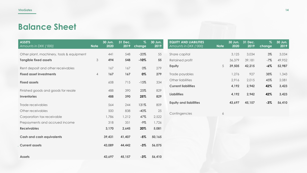## **Balance Sheet**

| <b>ASSETS</b><br>Amounts in DKK ('000)    | <b>Note</b>    | 30 Jun.<br>2020 | 31 Dec.<br>2019 | $\%$<br>change | 30 Jun.<br>2019 | <b>EQUITY AND LIABILITIES</b><br>Amounts in DKK ('000) | <b>Note</b> | 30 Jun.<br>2020 | 31 Dec.<br>2019 | $\%$<br>change | 30 Jun.<br>2019 |
|-------------------------------------------|----------------|-----------------|-----------------|----------------|-----------------|--------------------------------------------------------|-------------|-----------------|-----------------|----------------|-----------------|
| Other plant, machinery, tools & equipment |                | 441             | 548             | $-20\%$        | 55              | Share capital                                          |             | 3,125           | 3,034           | 3%             | 3,034           |
| <b>Tangible fixed assets</b>              | $\mathfrak{Z}$ | 494             | 548             | $-10%$         | 55              | Retained profit                                        |             | 36,379          | 39,181          | $-7%$          | 49,952          |
| Rent deposit and other receivables        |                | 167             | 167             | 0%             | 279             | Equity                                                 | 5           | 39,505          | 42,215          | $-6%$          | 52,987          |
| <b>Fixed asset investments</b>            | $\overline{4}$ | 167             | 167             | 0%             | 279             | Trade payables                                         |             | 1,276           | 927             | 38%            | 1,343           |
|                                           |                |                 |                 |                |                 | Other liabilities                                      |             | 2,916           | 2,015           | 45%            | 2,081           |
| <b>Fixed assets</b>                       |                | 608             | 715             | $-15%$         | 334             | <b>Current liabilities</b>                             |             | 4,192           | 2,942           | 42%            | 3,423           |
| Finished goods and goods for resale       |                | 488             | 390             | 25%            | 829             |                                                        |             |                 |                 |                |                 |
| <b>Inventories</b>                        |                | 488             | 390             | 25%            | 829             | <b>Liabilities</b>                                     |             | 4,192           | 2,942           | 42%            | 3,423           |
| Trade receivables                         |                | 564             | 244             | 131%           | 809             | <b>Equity and liabilities</b>                          |             | 43,697          | 45,157          | $-3%$          | 56,410          |
| Other receivables                         |                | 500             | 838             | $-40%$         | 25              |                                                        |             |                 |                 |                |                 |
| Corporation tax receivable                |                | 1,786           | 1,212           | 47%            | 2,522           | Contingencies                                          | 6           |                 |                 |                |                 |
| Prepayments and accrued income            |                | 318             | 351             | -9%            | 1,726           |                                                        |             |                 |                 |                |                 |
| <b>Receivables</b>                        |                | 3,170           | 2,645           | 20%            | 5,081           |                                                        |             |                 |                 |                |                 |
| <b>Cash and cash equivalents</b>          |                | 39,431          | 41,407          | $-5%$          | 50,165          |                                                        |             |                 |                 |                |                 |
| <b>Current assets</b>                     |                | 43,089          | 44,442          | $-3%$          | 56,075          |                                                        |             |                 |                 |                |                 |
| <b>Assets</b>                             |                | 43,697          | 45,157          | $-3%$          | 56,410          |                                                        |             |                 |                 |                |                 |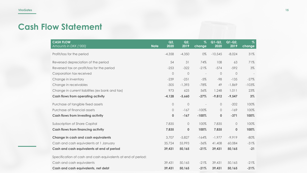## **Cash Flow Statement**

| <b>CASH FLOW</b><br>Amounts in DKK ('000)                    | <b>Note</b> | Q2<br>2020 | Q2<br>2019 | $\%$<br>change           | $Q1-Q2$<br>2020 | $Q1-Q2$<br>2019 | $\%$<br>change |
|--------------------------------------------------------------|-------------|------------|------------|--------------------------|-----------------|-----------------|----------------|
| Profit/loss for the period                                   |             | $-4,358$   | $-4,350$   | 0%                       | $-10,545$       | $-8,024$        | 31%            |
| Reversed depreciation of the period                          |             | 54         | 31         | 74%                      | 108             | 63              | 71%            |
| Reversed tax on profit/loss for the period                   |             | $-253$     | $-322$     | $-21%$                   | $-574$          | $-592$          | 3%             |
| Corporation tax received                                     |             | 0          | $\bigcirc$ | $\overline{\phantom{a}}$ | $\circ$         | $\bigcirc$      |                |
| Change in inventory                                          |             | $-239$     | $-251$     | $-5%$                    | $-98$           | $-135$          | $-27%$         |
| Change in receivables                                        |             | $-305$     | $-1,393$   | $-78%$                   | 49              | $-1,869$        | $-103%$        |
| Change in current liabilities (ex bank and tax)              |             | 973        | 625        | 56%                      | 1,248           | 1,011           | 23%            |
| <b>Cash flows from operating activity</b>                    |             | $-4,128$   | $-5,660$   | $-27%$                   | $-9,812$        | $-9,547$        | 3%             |
| Purchase of tangible fixed assets                            |             | $\bigcirc$ | $\bigcirc$ | $\overline{\phantom{a}}$ | $\circ$         | $-202$          | 100%           |
| Purchase of financial assets                                 |             | 0          | $-167$     | $-100%$                  | $\circ$         | $-169$          | 100%           |
| <b>Cash flows from investing activity</b>                    |             | 0          | $-167$     | $-100%$                  | $\bf{0}$        | $-371$          | 100%           |
| Subscription of Share Capital                                |             | 7,835      | $\bigcirc$ | 100%                     | 7,835           | $\bigcirc$      | 100%           |
| <b>Cash flows from financing activity</b>                    |             | 7,835      | 0          | 100%                     | 7,835           | $\mathbf 0$     | 100%           |
| Change in cash and cash equivalents                          |             | 3,707      | $-5,827$   | $-164%$                  | $-1,977$        | $-9,919$        | $-80%$         |
| Cash and cash equivalents at 1 January                       |             | 35,724     | 55,993     | $-36%$                   | 41,408          | 60,084          | $-31%$         |
| Cash and cash equivalents at end of period                   |             | 39,431     | 50,165     | $-21%$                   | 39,431          | 50,165          | $-21$          |
| Specification of cash and cash equivalents at end of period: |             |            |            |                          |                 |                 |                |
| Cash and cash equivalents                                    |             | 39,431     | 50,165     | $-21%$                   | 39,431          | 50,165          | $-21%$         |
| Cash and cash equivalents, net debt                          |             | 39,431     | 50,165     | $-21%$                   | 39,431          | 50,165          | $-21%$         |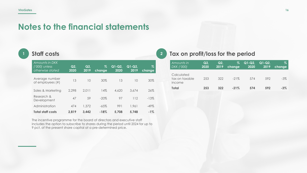## **Notes to the financial statements**

#### **<sup>1</sup> Staff costs**

| Amounts in DKK<br>$('000)$ unless<br>otherwise stated | Q2,<br>2020 | Q2.<br>2019 | %<br>change | $Q1-Q2$<br>2020 | $Q1-Q2$<br>2019 | Z<br>change |
|-------------------------------------------------------|-------------|-------------|-------------|-----------------|-----------------|-------------|
| Average number<br>of employees (#)                    | 13          | 10          | 30%         | 13              | 10              | 30%         |
| Sales & Marketing                                     | 2.298       | 2.011       | 14%         | 4,620           | 3.674           | 26%         |
| Research &<br>Development                             | 47          | 59          | $-20\%$     | 97              | 112             | $-13%$      |
| Administration                                        | 474         | 1.372       | $-65\%$     | 991             | 1.961           | $-49\%$     |
| <b>Total staff costs</b>                              | 2,819       | 3.442       | $-18%$      | 5.708           | 5.748           | $-1\%$      |

The incentive programme for the board of directors and executive staff includes the option to subscribe to shares during the period until 2024 for up to 9 pct. of the present share capital at a pre-determined price.

#### **<sup>2</sup> Tax on profit/loss for the period**

| Amounts in<br>DKK ('000)               | Q2<br>2020 | Q2.<br>2019 | Z<br>change | $\overline{ Q1-Q2 }$<br>2020 | $Q1-Q2$<br>2019 | Z<br>change |
|----------------------------------------|------------|-------------|-------------|------------------------------|-----------------|-------------|
| Calculated<br>tax on taxable<br>income | 253        | 322         | $-21\%$     | 574                          | 592             | $-3\%$      |
| Total                                  | 253        | 322         | $-21\%$     | 574                          | 592             | $-3%$       |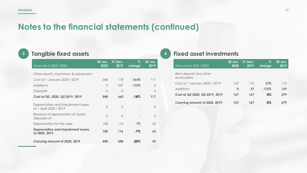## **Notes to the financial statements (continued)**

## **<sup>3</sup> Tangible fixed assets**

| Amounts in DKK ('000)                                        | 30 Jun.<br>2020 | 31 Dec.<br>2019 | %<br>change | 30 Jun.<br>2019 |
|--------------------------------------------------------------|-----------------|-----------------|-------------|-----------------|
| Other plants, machinery & equipment                          |                 |                 |             |                 |
| Cost at 1 January 2020 / 2019                                | 548             | 118             | 364%        | 117             |
| Additions                                                    | 0               | 547             | $-100\%$    | $\Omega$        |
| <b>Disposals</b>                                             | $\Omega$        | $\bigcap$       |             | $\bigcap$       |
| Cost at Q2, 2020, Q2 2019, 2019                              | 548             | 665             | $-18%$      | 117             |
| Depreciation and impairment losses<br>at 1 April 2020 / 2019 | $\Omega$        | $\bigcap$       |             | $\bigcap$       |
| Reversal of depreciation of assets<br>disposed of            | $\Omega$        | $\bigcap$       |             | $\Omega$        |
| Depreciation for the year                                    | 108             | 116             | $-7\%$      | 62              |
| <b>Depreciation and impairment losses</b><br>at 2020, 2019   | 108             | 116             | -7%         | 62              |
| Carrying amount of 2020, 2019                                | 440             | 548             | $-20\%$     | 55              |

#### **<sup>4</sup> Fixed asset investments**

| Amounts in DKK ('000)                 | 30 Jun.<br>2020 | 31 Dec.<br>2019 | Z.<br>change | 30 Jun.<br>2019 |
|---------------------------------------|-----------------|-----------------|--------------|-----------------|
| Rent deposit and other<br>receivables |                 |                 |              |                 |
| Cost at 1 January 2020 / 2019         | 167             | 110             | 52%          | 110             |
| Additions                             | 0               | 57              | $-100\%$     | 169             |
| Cost at Q2 2020, Q2 2019, 2019        | 167             | 167             | 0%           | 279             |
| Carrying amount of 2020, 2019         | 167             | 167             | 0%           | 279             |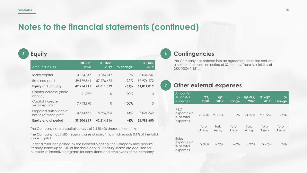## **Notes to the financial statements (continued)**

### **<sup>5</sup> Equity**

| Amounts in DKK                                      | 30 Jun.<br>2020 | 31 Dec.<br>2019 | % change | 30 Jun.<br>2019 |
|-----------------------------------------------------|-----------------|-----------------|----------|-----------------|
| Share capital                                       | 3,034,347       | 3,034,347       | $0\%$    | 3,034,347       |
| Retained profit                                     | 39,179,864      | 57,976,672      | $-32\%$  | 57,976,672      |
| <b>Equity at 1 January</b>                          | 42,214,211      | 61,011,019      | $-31\%$  | 61,011,019      |
| Capital increase (share<br>capital)                 | 91.079          | 0               | 100%     | $\bigcap$       |
| Capital increase<br>(retained profit)               | 7,743,990       | $\bigcap$       | 100%     | ∩               |
| Proposed distribution of<br>loss to retained profit | $-10,544,651$   | $-18,796,805$   | $-44%$   | $-8,024,369$    |
| <b>Equity end of period</b>                         | 39,504,629      | 42,214,216      | -6%      | 52,986,650      |

The Company's share capital consists of 3.125.426 shares of nom. 1 kr.

The Company has 2.585 treasury shares of nom. 1 kr. which equals 0,1% of the total share capital.

Under a resolution passed by the General Meeting, the Company may acquire treasury shares up to 10% of the share capital. Treasury shares are acquired for purposes of incentive programs for consultants and employees of the company

#### **<sup>6</sup> Contingencies**

The Company has entered into an agreement for office rent with a notice of termination period of 32 months. There is a liability of DKK ('000) 1,381.

#### **<sup>7</sup> Other external expenses**

| Amounts in<br>% of total<br>expenses           | Q2<br>2020    | Q2<br>2019    | Z<br>change   | $Q1-Q2$<br>2020 | $Q1-Q2$<br>2019 | Z<br>change   |
|------------------------------------------------|---------------|---------------|---------------|-----------------|-----------------|---------------|
| R&D<br>expenses in<br>% of total<br>expenses   | 21.68%        | 21.01%        | $3\%$         | 21.37%          | 27.89%          | $-23%$        |
|                                                | Turb<br>Assay | Turb<br>Assay | Turb<br>Assay | Turb<br>Assay   | Turb<br>Assay   | Turb<br>Assay |
| Sales<br>expenses in<br>% of total<br>expenses | 9.04%         | 16.63%        | $-46%$        | 18.92%          | 15.27%          | 24%           |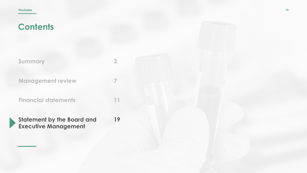| Summary | 3 |
|---------|---|
|         |   |
|         |   |

**7**

**11**

**Management review**

**Financial statements**

**Statement by the Board and Executive Management 19**